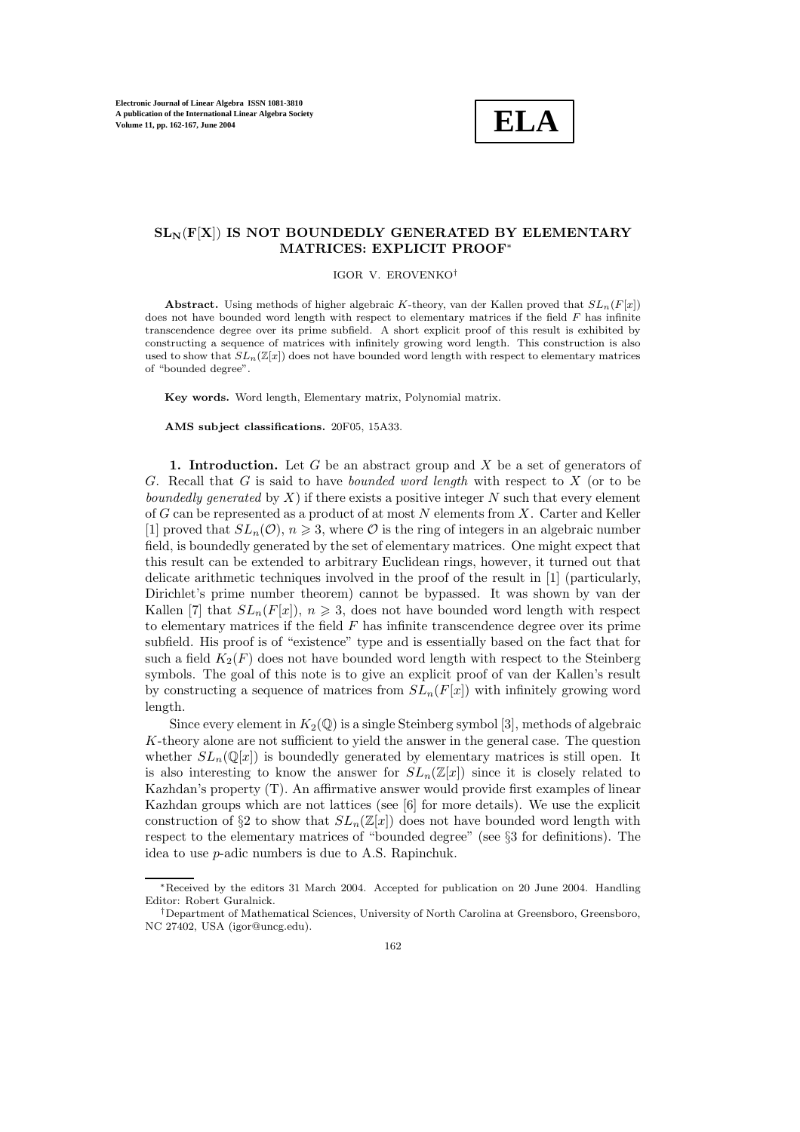**ELA**

## **SLN**(**F**[**X**]) **IS NOT BOUNDEDLY GENERATED BY ELEMENTARY MATRICES: EXPLICIT PROOF**<sup>∗</sup>

## IGOR V. EROVENKO†

**Abstract.** Using methods of higher algebraic K-theory, van der Kallen proved that  $SL_n(F[x])$ does not have bounded word length with respect to elementary matrices if the field  $F$  has infinite transcendence degree over its prime subfield. A short explicit proof of this result is exhibited by constructing a sequence of matrices with infinitely growing word length. This construction is also used to show that  $SL_n(\mathbb{Z}[x])$  does not have bounded word length with respect to elementary matrices of "bounded degree".

**Key words.** Word length, Elementary matrix, Polynomial matrix.

**AMS subject classifications.** 20F05, 15A33.

**1. Introduction.** Let G be an abstract group and X be a set of generators of G. Recall that G is said to have *bounded word length* with respect to X (or to be *boundedly generated* by X) if there exists a positive integer N such that every element of G can be represented as a product of at most  $N$  elements from  $X$ . Carter and Keller [1] proved that  $SL_n(\mathcal{O})$ ,  $n \geqslant 3$ , where  $\mathcal O$  is the ring of integers in an algebraic number field, is boundedly generated by the set of elementary matrices. One might expect that this result can be extended to arbitrary Euclidean rings, however, it turned out that delicate arithmetic techniques involved in the proof of the result in [1] (particularly, Dirichlet's prime number theorem) cannot be bypassed. It was shown by van der Kallen [7] that  $SL_n(F[x])$ ,  $n \geqslant 3$ , does not have bounded word length with respect to elementary matrices if the field  $F$  has infinite transcendence degree over its prime subfield. His proof is of "existence" type and is essentially based on the fact that for such a field  $K_2(F)$  does not have bounded word length with respect to the Steinberg symbols. The goal of this note is to give an explicit proof of van der Kallen's result by constructing a sequence of matrices from  $SL_n(F[x])$  with infinitely growing word length.

Since every element in  $K_2(\mathbb{Q})$  is a single Steinberg symbol [3], methods of algebraic K-theory alone are not sufficient to yield the answer in the general case. The question whether  $SL_n(\mathbb{Q}[x])$  is boundedly generated by elementary matrices is still open. It is also interesting to know the answer for  $SL_n(\mathbb{Z}[x])$  since it is closely related to Kazhdan's property (T). An affirmative answer would provide first examples of linear Kazhdan groups which are not lattices (see [6] for more details). We use the explicit construction of §2 to show that  $SL_n(\mathbb{Z}[x])$  does not have bounded word length with respect to the elementary matrices of "bounded degree" (see §3 for definitions). The idea to use p-adic numbers is due to A.S. Rapinchuk.

<sup>∗</sup>Received by the editors 31 March 2004. Accepted for publication on 20 June 2004. Handling Editor: Robert Guralnick.

<sup>†</sup>Department of Mathematical Sciences, University of North Carolina at Greensboro, Greensboro, NC 27402, USA (igor@uncg.edu).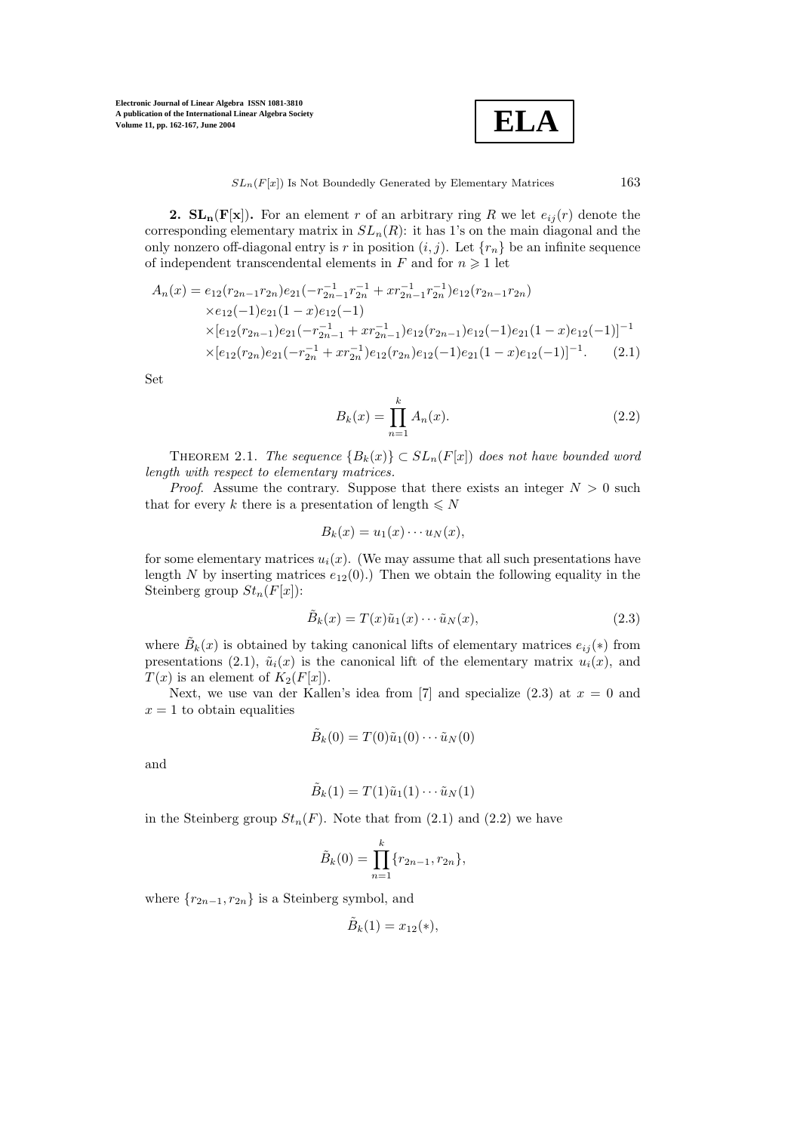**ELA**

**2.**  $SL_n(F[x])$ . For an element r of an arbitrary ring R we let  $e_{ij}(r)$  denote the corresponding elementary matrix in  $SL_n(R)$ : it has 1's on the main diagonal and the only nonzero off-diagonal entry is r in position  $(i, j)$ . Let  $\{r_n\}$  be an infinite sequence of independent transcendental elements in F and for  $n \geq 1$  let

$$
A_n(x) = e_{12}(r_{2n-1}r_{2n})e_{21}(-r_{2n-1}^{-1}r_{2n}^{-1} + xr_{2n-1}^{-1}r_{2n}^{-1})e_{12}(r_{2n-1}r_{2n})
$$
  
\n
$$
\times e_{12}(-1)e_{21}(1-x)e_{12}(-1)
$$
  
\n
$$
\times [e_{12}(r_{2n-1})e_{21}(-r_{2n-1}^{-1} + xr_{2n-1}^{-1})e_{12}(r_{2n-1})e_{12}(-1)e_{21}(1-x)e_{12}(-1)]^{-1}
$$
  
\n
$$
\times [e_{12}(r_{2n})e_{21}(-r_{2n}^{-1} + xr_{2n}^{-1})e_{12}(r_{2n})e_{12}(-1)e_{21}(1-x)e_{12}(-1)]^{-1}.
$$
 (2.1)

Set

$$
B_k(x) = \prod_{n=1}^k A_n(x).
$$
 (2.2)

THEOREM 2.1. *The sequence*  ${B_k(x)} \subset SL_n(F[x])$  *does not have bounded word length with respect to elementary matrices.*

*Proof.* Assume the contrary. Suppose that there exists an integer  $N > 0$  such that for every k there is a presentation of length  $\leq N$ 

$$
B_k(x) = u_1(x) \cdots u_N(x),
$$

for some elementary matrices  $u_i(x)$ . (We may assume that all such presentations have length N by inserting matrices  $e_{12}(0)$ .) Then we obtain the following equality in the Steinberg group  $St_n(F[x])$ :

$$
\tilde{B}_k(x) = T(x)\tilde{u}_1(x)\cdots\tilde{u}_N(x),\tag{2.3}
$$

where  $\tilde{B}_k(x)$  is obtained by taking canonical lifts of elementary matrices  $e_{ij}(*)$  from presentations (2.1),  $\tilde{u}_i(x)$  is the canonical lift of the elementary matrix  $u_i(x)$ , and  $T(x)$  is an element of  $K_2(F[x])$ .

Next, we use van der Kallen's idea from [7] and specialize  $(2.3)$  at  $x = 0$  and  $x = 1$  to obtain equalities

$$
\tilde{B}_k(0) = T(0)\tilde{u}_1(0)\cdots\tilde{u}_N(0)
$$

and

$$
\tilde{B}_k(1) = T(1)\tilde{u}_1(1)\cdots\tilde{u}_N(1)
$$

in the Steinberg group  $St_n(F)$ . Note that from (2.1) and (2.2) we have

$$
\tilde{B}_k(0) = \prod_{n=1}^k \{r_{2n-1}, r_{2n}\},\,
$$

where  ${r_{2n-1}, r_{2n}}$  is a Steinberg symbol, and

$$
\tilde{B}_k(1) = x_{12}(\ast),
$$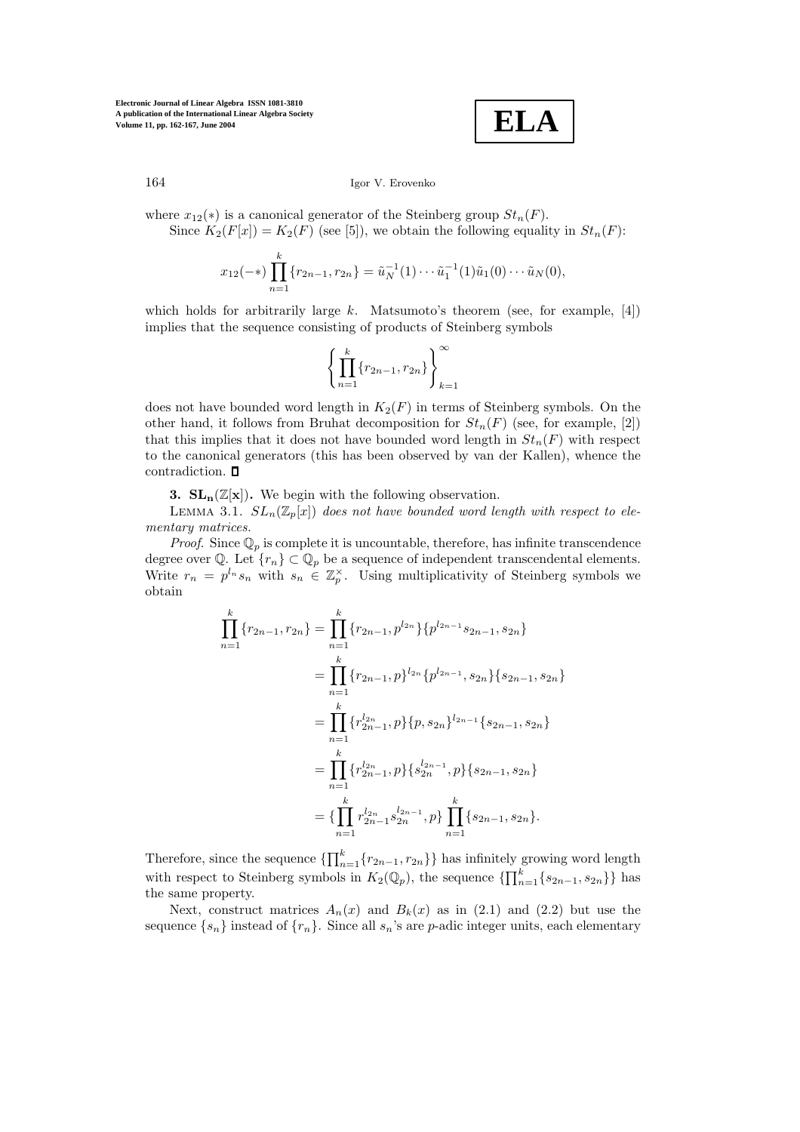

164 Igor V. Erovenko

where  $x_{12}(*)$  is a canonical generator of the Steinberg group  $St_n(F)$ . Since  $K_2(F[x]) = K_2(F)$  (see [5]), we obtain the following equality in  $St_n(F)$ :

$$
x_{12}(-*)\prod_{n=1}^k \{r_{2n-1}, r_{2n}\} = \tilde{u}_N^{-1}(1)\cdots \tilde{u}_1^{-1}(1)\tilde{u}_1(0)\cdots \tilde{u}_N(0),
$$

which holds for arbitrarily large k. Matsumoto's theorem (see, for example, [4]) implies that the sequence consisting of products of Steinberg symbols

$$
\left\{\prod_{n=1}^k \{r_{2n-1}, r_{2n}\}\right\}_{k=1}^\infty
$$

does not have bounded word length in  $K_2(F)$  in terms of Steinberg symbols. On the other hand, it follows from Bruhat decomposition for  $St_n(F)$  (see, for example, [2]) that this implies that it does not have bounded word length in  $St_n(F)$  with respect to the canonical generators (this has been observed by van der Kallen), whence the contradiction.

**3. SL<sub>n</sub>** $(\mathbb{Z}[\mathbf{x}])$ . We begin with the following observation.

LEMMA 3.1.  $SL_n(\mathbb{Z}_p[x])$  does not have bounded word length with respect to ele*mentary matrices.*

*Proof.* Since  $\mathbb{Q}_p$  is complete it is uncountable, therefore, has infinite transcendence degree over Q. Let  $\{r_n\} \subset \mathbb{Q}_p$  be a sequence of independent transcendental elements. Write  $r_n = p^{l_n} s_n$  with  $s_n \in \mathbb{Z}_p^{\times}$ . Using multiplicativity of Steinberg symbols we obtain

$$
\prod_{n=1}^{k} \{r_{2n-1}, r_{2n}\} = \prod_{n=1}^{k} \{r_{2n-1}, p^{l_{2n}}\} \{p^{l_{2n-1}} s_{2n-1}, s_{2n}\}\
$$

$$
= \prod_{n=1}^{k} \{r_{2n-1}, p\}^{l_{2n}} \{p^{l_{2n-1}}, s_{2n}\} \{s_{2n-1}, s_{2n}\}\
$$

$$
= \prod_{n=1}^{k} \{r^{l_{2n}}_{2n-1}, p\} \{p, s_{2n}\}^{l_{2n-1}} \{s_{2n-1}, s_{2n}\}\
$$

$$
= \prod_{n=1}^{k} \{r^{l_{2n}}_{2n-1}, p\} \{s^{l_{2n-1}}_{2n}, p\} \{s_{2n-1}, s_{2n}\}\
$$

$$
= \{\prod_{n=1}^{k} r^{l_{2n}}_{2n-1} s^{l_{2n-1}}_{2n}, p\} \prod_{n=1}^{k} \{s_{2n-1}, s_{2n}\}.
$$

Therefore, since the sequence  $\{\prod_{n=1}^{k} \{r_{2n-1}, r_{2n}\}\}\$  has infinitely growing word length with respect to Steinberg symbols in  $K_2(\mathbb{Q}_p)$ , the sequence  $\{\prod_{n=1}^k \{s_{2n-1}, s_{2n}\}\}\)$  has the same property.

Next, construct matrices  $A_n(x)$  and  $B_k(x)$  as in (2.1) and (2.2) but use the sequence  $\{s_n\}$  instead of  $\{r_n\}$ . Since all  $s_n$ 's are p-adic integer units, each elementary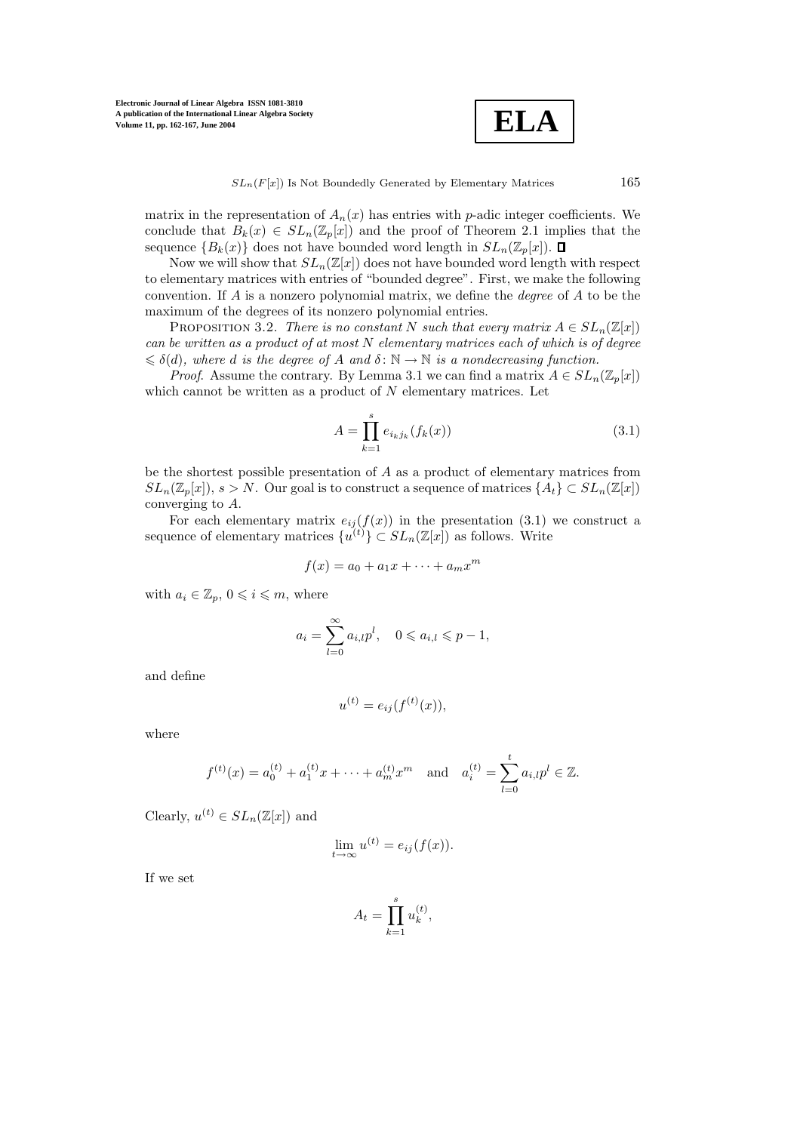$$
\boxed{\textbf{ELA}}
$$

 $SL_n(F[x])$  Is Not Boundedly Generated by Elementary Matrices 165

matrix in the representation of  $A_n(x)$  has entries with p-adic integer coefficients. We conclude that  $B_k(x) \in SL_n(\mathbb{Z}_p[x])$  and the proof of Theorem 2.1 implies that the sequence  ${B_k(x)}$  does not have bounded word length in  $SL_n(\mathbb{Z}_p[x])$ .  $\Box$ 

Now we will show that  $SL_n(\mathbb{Z}[x])$  does not have bounded word length with respect to elementary matrices with entries of "bounded degree". First, we make the following convention. If A is a nonzero polynomial matrix, we define the *degree* of A to be the maximum of the degrees of its nonzero polynomial entries.

**PROPOSITION 3.2.** *There is no constant* N *such that every matrix*  $A \in SL_n(\mathbb{Z}[x])$ *can be written as a product of at most* N *elementary matrices each of which is of degree*  $\leq \delta(d)$ , where *d* is the degree of *A* and  $\delta : \mathbb{N} \to \mathbb{N}$  is a nondecreasing function.

*Proof.* Assume the contrary. By Lemma 3.1 we can find a matrix  $A \in SL_n(\mathbb{Z}_p[x])$ which cannot be written as a product of  $N$  elementary matrices. Let

$$
A = \prod_{k=1}^{s} e_{i_k j_k}(f_k(x))
$$
\n(3.1)

be the shortest possible presentation of A as a product of elementary matrices from  $SL_n(\mathbb{Z}_p[x])$ ,  $s>N$ . Our goal is to construct a sequence of matrices  $\{A_t\} \subset SL_n(\mathbb{Z}[x])$ converging to A.

For each elementary matrix  $e_{ij}(f(x))$  in the presentation (3.1) we construct a sequence of elementary matrices  $\{u^{(t)}\} \subset SL_n(\mathbb{Z}[x])$  as follows. Write

$$
f(x) = a_0 + a_1x + \dots + a_mx^m
$$

with  $a_i \in \mathbb{Z}_p$ ,  $0 \leqslant i \leqslant m$ , where

$$
a_i = \sum_{l=0}^{\infty} a_{i,l} p^l, \quad 0 \leqslant a_{i,l} \leqslant p-1,
$$

and define

$$
u^{(t)} = e_{ij}(f^{(t)}(x)),
$$

where

$$
f^{(t)}(x) = a_0^{(t)} + a_1^{(t)}x + \cdots + a_m^{(t)}x^m
$$
 and  $a_i^{(t)} = \sum_{l=0}^t a_{i,l}p^l \in \mathbb{Z}$ .

Clearly,  $u^{(t)} \in SL_n(\mathbb{Z}[x])$  and

$$
\lim_{t \to \infty} u^{(t)} = e_{ij}(f(x)).
$$

If we set

$$
A_t = \prod_{k=1}^s u_k^{(t)},
$$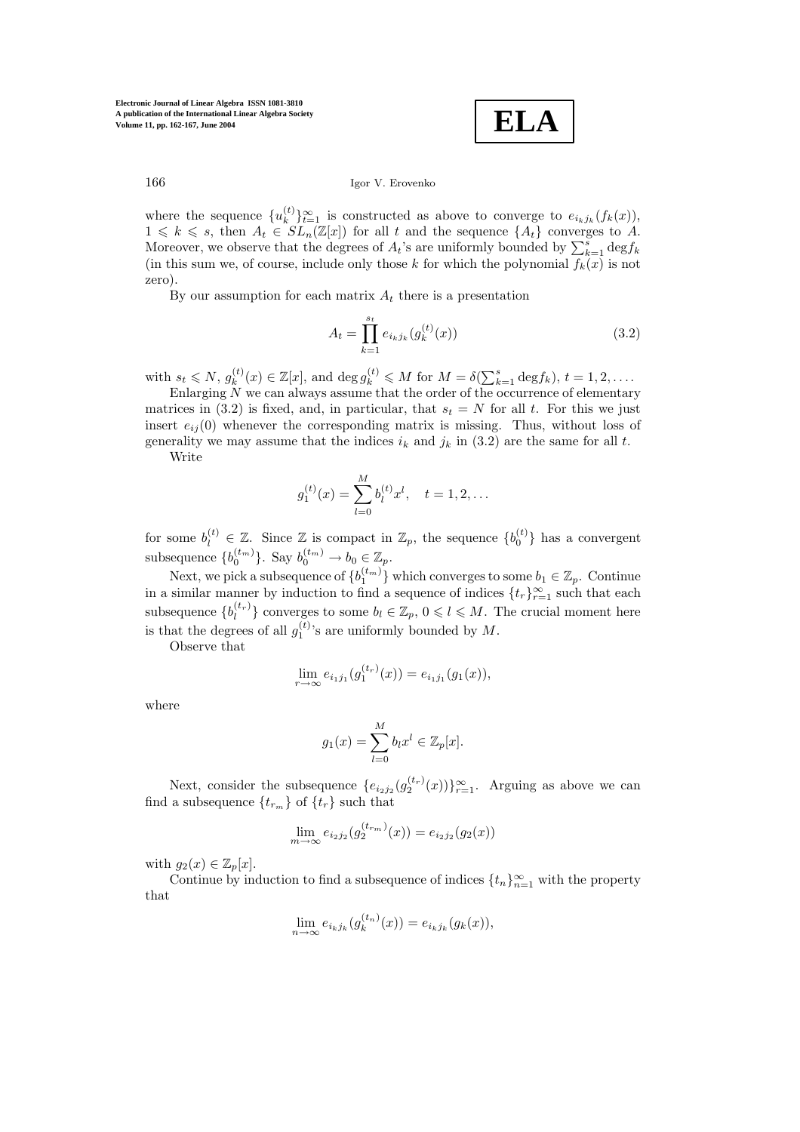**ELA**

166 Igor V. Erovenko

where the sequence  $\{u_k^{(t)}\}_{t=1}^{\infty}$  is constructed as above to converge to  $e_{i_kj_k}(f_k(x))$ ,  $1 \leq k \leq s$ , then  $A_t \in SL_n(\mathbb{Z}[x])$  for all t and the sequence  $\{A_t\}$  converges to A. Moreover, we observe that the degrees of  $A_t$ 's are uniformly bounded by  $\sum_{k=1}^s \text{deg} f_k$ (in this sum we, of course, include only those k for which the polynomial  $f_k(x)$  is not zero).

By our assumption for each matrix  $A_t$  there is a presentation

$$
A_t = \prod_{k=1}^{s_t} e_{i_k j_k} (g_k^{(t)}(x))
$$
\n(3.2)

with  $s_t \leq N$ ,  $g_k^{(t)}(x) \in \mathbb{Z}[x]$ , and  $\deg g_k^{(t)} \leq M$  for  $M = \delta(\sum_{k=1}^s \deg f_k)$ ,  $t = 1, 2, \ldots$ .

Enlarging  $N$  we can always assume that the order of the occurrence of elementary matrices in (3.2) is fixed, and, in particular, that  $s_t = N$  for all t. For this we just insert  $e_{ii}(0)$  whenever the corresponding matrix is missing. Thus, without loss of generality we may assume that the indices  $i_k$  and  $j_k$  in (3.2) are the same for all t.

Write

$$
g_1^{(t)}(x) = \sum_{l=0}^{M} b_l^{(t)} x^l, \quad t = 1, 2, \dots
$$

for some  $b_l^{(t)} \in \mathbb{Z}$ . Since  $\mathbb{Z}$  is compact in  $\mathbb{Z}_p$ , the sequence  $\{b_0^{(t)}\}$  has a convergent subsequence  ${b_0^{(t_m)}}$ . Say  $b_0^{(t_m)} \to b_0 \in \mathbb{Z}_p$ .

Next, we pick a subsequence of  $\{b_1^{(t_m)}\}$  which converges to some  $b_1 \in \mathbb{Z}_p$ . Continue in a similar manner by induction to find a sequence of indices  $\{t_r\}_{r=1}^{\infty}$  such that each subsequence  $\{b_l^{(t_r)}\}$  converges to some  $b_l \in \mathbb{Z}_p$ ,  $0 \leqslant l \leqslant M$ . The crucial moment here is that the degrees of all  $g_1^{(t)}$ 's are uniformly bounded by M.

Observe that

$$
\lim_{r \to \infty} e_{i_1 j_1}(g_1^{(t_r)}(x)) = e_{i_1 j_1}(g_1(x)),
$$

where

$$
g_1(x) = \sum_{l=0}^{M} b_l x^l \in \mathbb{Z}_p[x].
$$

Next, consider the subsequence  $\{e_{i_2j_2}(g_2^{(t_r)}(x))\}_{r=1}^{\infty}$ . Arguing as above we can find a subsequence  $\{t_{r_m}\}\$  of  $\{t_r\}$  such that

$$
\lim_{m \to \infty} e_{i_2 j_2}(g_2^{(t_{r_m})}(x)) = e_{i_2 j_2}(g_2(x))
$$

with  $g_2(x) \in \mathbb{Z}_p[x]$ .

Continue by induction to find a subsequence of indices  $\{t_n\}_{n=1}^{\infty}$  with the property that

$$
\lim_{n \to \infty} e_{i_k j_k} (g_k^{(t_n)}(x)) = e_{i_k j_k} (g_k(x)),
$$